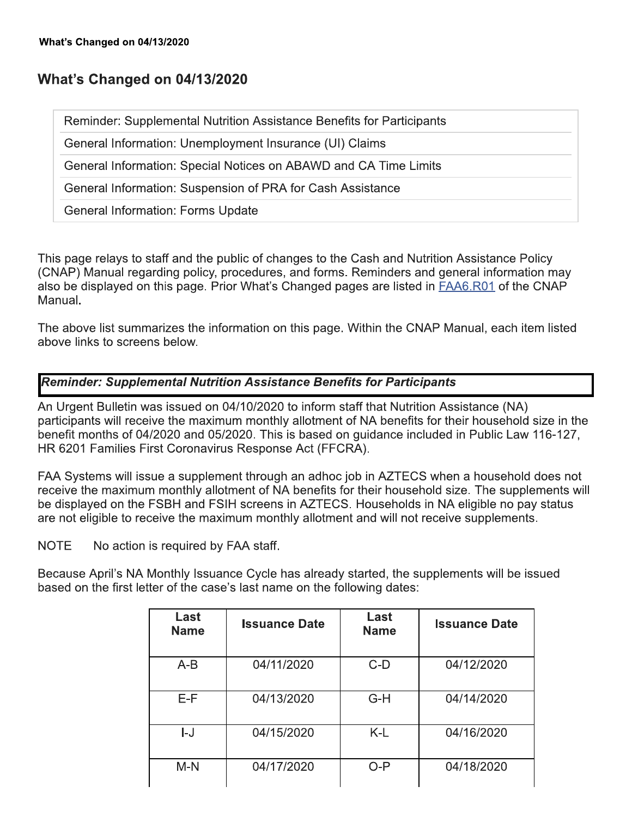# What's Changed on 04/13/2020

Reminder: Supplemental Nutrition Assistance Benefits for Participants

General Information: Unemployment Insurance (UI) Claims

General Information: Special Notices on ABAWD and CA Time Limits

General Information: Suspension of PRA for Cash Assistance

**General Information: Forms Update** 

This page relays to staff and the public of changes to the Cash and Nutrition Assistance Policy (CNAP) Manual regarding policy, procedures, and forms. Reminders and general information may also be displayed on this page. Prior What's Changed pages are listed in FAA6.R01 of the CNAP Manual.

The above list summarizes the information on this page. Within the CNAP Manual, each item listed above links to screens below.

#### **Reminder: Supplemental Nutrition Assistance Benefits for Participants**

An Urgent Bulletin was issued on 04/10/2020 to inform staff that Nutrition Assistance (NA) participants will receive the maximum monthly allotment of NA benefits for their household size in the benefit months of 04/2020 and 05/2020. This is based on guidance included in Public Law 116-127, HR 6201 Families First Coronavirus Response Act (FFCRA).

FAA Systems will issue a supplement through an adhoc job in AZTECS when a household does not receive the maximum monthly allotment of NA benefits for their household size. The supplements will be displayed on the FSBH and FSIH screens in AZTECS. Households in NA eligible no pay status are not eligible to receive the maximum monthly allotment and will not receive supplements.

**NOTE** No action is required by FAA staff.

Because April's NA Monthly Issuance Cycle has already started, the supplements will be issued based on the first letter of the case's last name on the following dates:

| Last<br><b>Name</b> | <b>Issuance Date</b> | Last<br><b>Name</b> | <b>Issuance Date</b> |
|---------------------|----------------------|---------------------|----------------------|
| $A-B$               | 04/11/2020           | $C-D$               | 04/12/2020           |
| E-F                 | 04/13/2020           | $G-H$               | 04/14/2020           |
| I-J                 | 04/15/2020           | $K-L$               | 04/16/2020           |
| $M-N$               | 04/17/2020           | O-P                 | 04/18/2020           |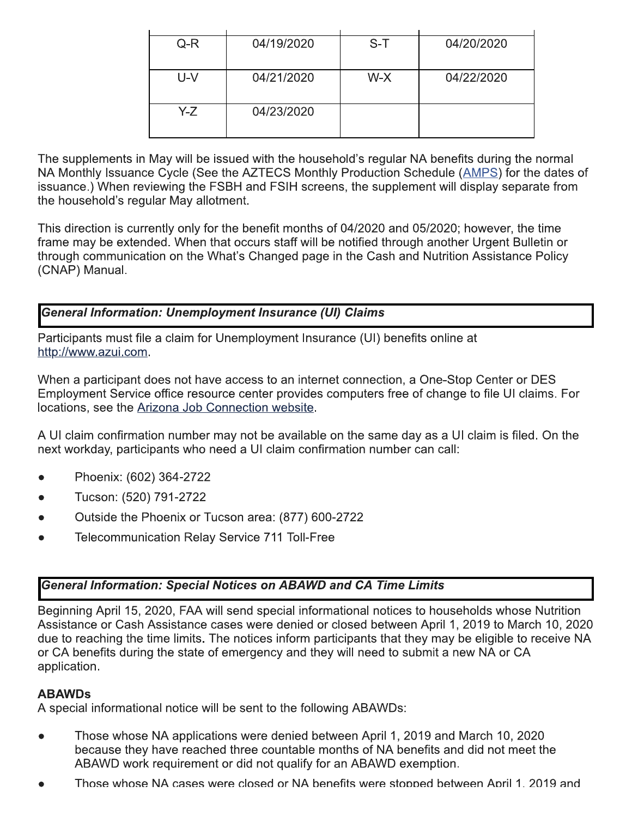| $Q-R$ | 04/19/2020 | $S-T$ | 04/20/2020 |
|-------|------------|-------|------------|
|       |            |       |            |
|       |            |       |            |
|       |            |       |            |
| U-V   | 04/21/2020 | W-X   | 04/22/2020 |
|       |            |       |            |
|       |            |       |            |
|       |            |       |            |
| Y-Z   | 04/23/2020 |       |            |
|       |            |       |            |
|       |            |       |            |
|       |            |       |            |

The supplements in May will be issued with the household's regular NA benefits during the normal NA Monthly Issuance Cycle (See the AZTECS Monthly Production Schedule (AMPS) for the dates of issuance.) When reviewing the FSBH and FSIH screens, the supplement will display separate from the household's regular May allotment.

This direction is currently only for the benefit months of 04/2020 and 05/2020; however, the time frame may be extended. When that occurs staff will be notified through another Urgent Bulletin or through communication on the What's Changed page in the Cash and Nutrition Assistance Policy (CNAP) Manual.

# **General Information: Unemployment Insurance (UI) Claims**

Participants must file a claim for Unemployment Insurance (UI) benefits online at http://www.azui.com.

When a participant does not have access to an internet connection, a One-Stop Center or DES Employment Service office resource center provides computers free of change to file UI claims. For locations, see the Arizona Job Connection website.

A UI claim confirmation number may not be available on the same day as a UI claim is filed. On the next workday, participants who need a UI claim confirmation number can call:

- Phoenix: (602) 364-2722
- Tucson: (520) 791-2722
- Outside the Phoenix or Tucson area: (877) 600-2722
- **Telecommunication Relay Service 711 Toll-Free**

## **General Information: Special Notices on ABAWD and CA Time Limits**

Beginning April 15, 2020, FAA will send special informational notices to households whose Nutrition Assistance or Cash Assistance cases were denied or closed between April 1, 2019 to March 10, 2020 due to reaching the time limits. The notices inform participants that they may be eligible to receive NA or CA benefits during the state of emergency and they will need to submit a new NA or CA application.

#### **ABAWDs**

A special informational notice will be sent to the following ABAWDs:

- Those whose NA applications were denied between April 1, 2019 and March 10, 2020 because they have reached three countable months of NA benefits and did not meet the ABAWD work requirement or did not qualify for an ABAWD exemption.
- Those whose NA cases were closed or NA benefits were stopped between April 1, 2019 and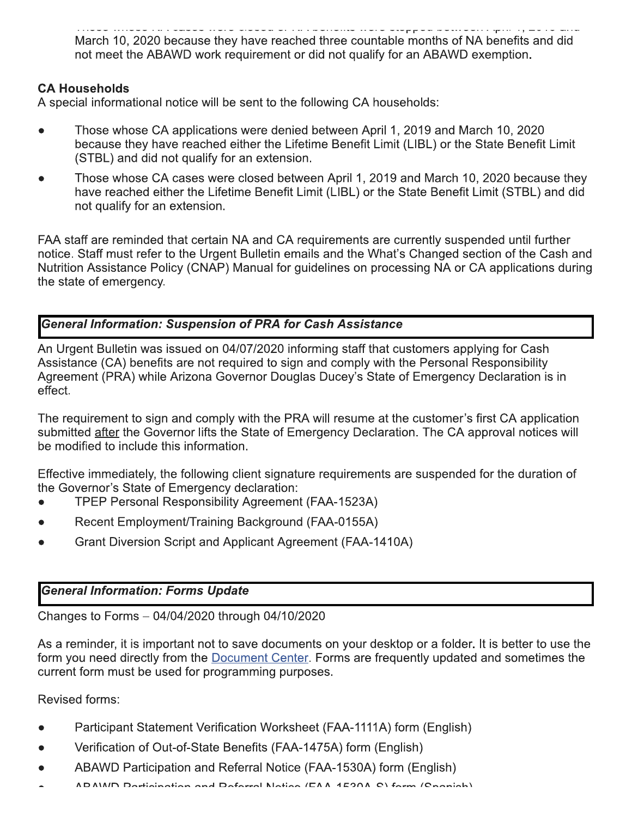--     March 10, 2020 because they have reached three countable months of NA benefits and did not meet the ABAWD work requirement or ald not qualify for an ABAWD exemption.  $\,$ 

## **CA Households**

A special informational notice will be sent to the following CA nousenolds:

- $\bullet$  Those whose CA applications were denied between April 1, 2019 and March 10, 2020 because they have reached either the Lifetime Benefit Limit (LIBL) or the State Benefit Limit (STBL) and did not qualify for an extension.
- March 10, 2020 b<br>
not meet the ABA<br> **CA Households**<br>
A special informational r<br>
 Those whose CA<br>
because they hav<br>
(STBL) and did no<br>
 Those whose CA<br>
have reached eith<br>
not qualify for an  $\bullet$  Those whose CA cases were closed between April 1, 2019 and March 10, 2020 because they have reached either the Lifetime Benefit Limit (LIBL) or the State Benefit Limit (STBL) and did not qualify for an extension.

 $\overline{a}$ FAA staff are reminded that certain NA and CA requirements are currently suspended until further hotice. Staff must refer to the Urgent Bulletin emails and the VVhat's Changed section of the Cash and Nutrition Assistance Policy (CNAP) Manual for guidelines on processing NA or CA applications during the state of emergency.

# General Information: Suspension of PRA for Cash Assistance

An Urgent Bulletin was issued on 04/07/2020 informing staff that customers applying for Cash Assistance (CA) benefits are not required to sign and comply with the Personal Responsibility and the complete Agreement (PRA) while Arizona Governor Douglas Ducey's State of Emergency Declaration is in enect.

 $\overline{\phantom{a}}$ The requirement to sign and comply with the PRA will resume at the customer's first CA application submitted after the Governor lifts the State of Emergency Declaration. The CA approval notices will be modified to include this information.

 $\overline{\phantom{a}}$  $\pm$  declive immediately, the following client signature requirements are suspended for the duration of the Governor's State of Emergency declaration:

- TPEP Personal Responsibility Agreement (FAA-1523A)
- $\bullet$  Recent Employment/Training Background (FAA-0155A)
- $\bullet$  Grant Diversion Script and Applicant Agreement (FAA-1410A)

### **General Information: Forms Update**

 $\,$  Changes to Forms  $-$  04/04/2020 through 04/10/2020  $\,$ 

 $\mathbb{R}^2$ As a reminder, it is important not to save documents on your desktop or a folder. It is better to use the lite form you need directly from the <u>Document Center</u>. Forms are frequently updated and sometimes the current form must be used for programming purposes.

 $\mathbf{r}$ Revised forms:

- $\bullet$  Participant Statement Verification Worksheet (FAA-1111A) form (English)
- $\bullet$  Verification of Out-of-State Benefits (FAA-1475A) form (English)
- $\bullet$  ABAWD Participation and Referral Notice (FAA-1530A) form (English)
- $\blacktriangle$   $\blacktriangle$   $\blacktriangle$   $\blacktriangle$   $\blacktriangle$   $\blacktriangle$   $\blacktriangle$   $\blacktriangle$   $\blacktriangle$   $\blacktriangle$   $\blacktriangle$   $\blacktriangle$   $\blacktriangle$   $\blacktriangle$   $\blacktriangle$   $\blacktriangle$   $\blacktriangle$   $\blacktriangle$   $\blacktriangle$   $\blacktriangle$   $\blacktriangle$   $\blacktriangle$   $\blacktriangle$   $\blacktriangle$   $\blacktriangle$   $\blacktriangle$   $\blacktriangle$   $\blacktriangle$   $\blacktriangle$   $\blacktriangle$   $\blacktriangle$   $\blacktriangle$   $\blacktriangle$   $\blacktriangle$   $\blacktriangle$   $\blacktriangle$   $\blacktriangle$ 7